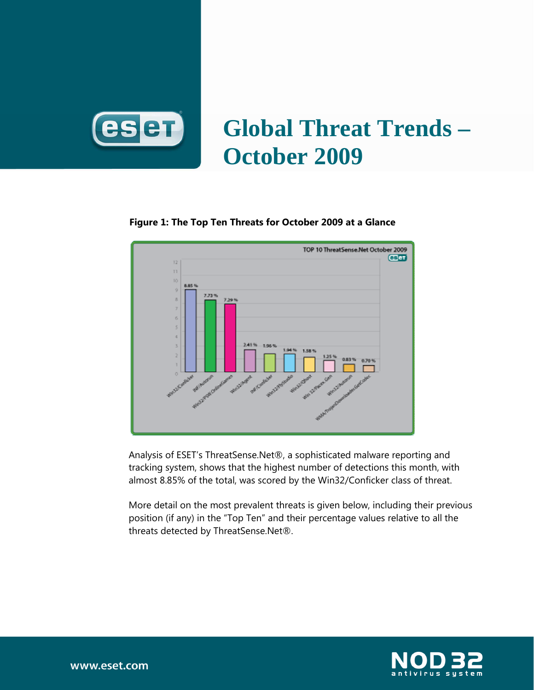

# **Global Threat Trends – October 2009**

#### **Figure 1: The Top Ten Threats for October 2009 at a Glance**



Analysis of ESET's ThreatSense.Net®, a sophisticated malware reporting and tracking system, shows that the highest number of detections this month, with almost 8.85% of the total, was scored by the Win32/Conficker class of threat.

More detail on the most prevalent threats is given below, including their previous position (if any) in the "Top Ten" and their percentage values relative to all the threats detected by ThreatSense.Net®.

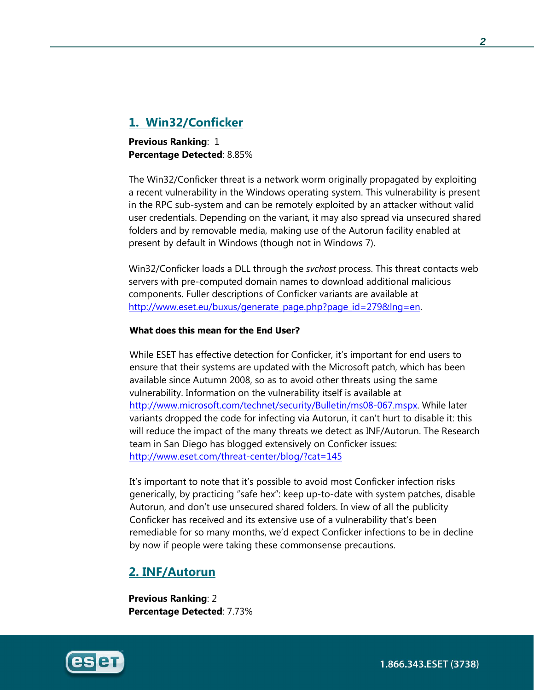# **1. Win32/Conficker**

**Previous Ranking: 1 Percentage Detected**: 8.85%

The Win32/Conficker threat is a network worm originally propagated by exploiting a recent vulnerability in the Windows operating system. This vulnerability is present in the RPC sub-system and can be remotely exploited by an attacker without valid user credentials. Depending on the variant, it may also spread via unsecured shared folders and by removable media, making use of the Autorun facility enabled at present by default in Windows (though not in Windows 7).

Win32/Conficker loads a DLL through the *svchost* process. This threat contacts web servers with pre-computed domain names to download additional malicious components. Fuller descriptions of Conficker variants are available at http://www.eset.eu/buxus/generate\_page.php?page\_id=279&lng=en.

#### **What does this mean for the End User?**

While ESET has effective detection for Conficker, it's important for end users to ensure that their systems are updated with the Microsoft patch, which has been available since Autumn 2008, so as to avoid other threats using the same vulnerability. Information on the vulnerability itself is available at http://www.microsoft.com/technet/security/Bulletin/ms08-067.mspx. While later variants dropped the code for infecting via Autorun, it can't hurt to disable it: this will reduce the impact of the many threats we detect as INF/Autorun. The Research team in San Diego has blogged extensively on Conficker issues: http://www.eset.com/threat-center/blog/?cat=145

It's important to note that it's possible to avoid most Conficker infection risks generically, by practicing "safe hex": keep up-to-date with system patches, disable Autorun, and don't use unsecured shared folders. In view of all the publicity Conficker has received and its extensive use of a vulnerability that's been remediable for so many months, we'd expect Conficker infections to be in decline by now if people were taking these commonsense precautions.

## **2. INF/Autorun**

**Previous Ranking**: 2 **Percentage Detected**: 7.73%

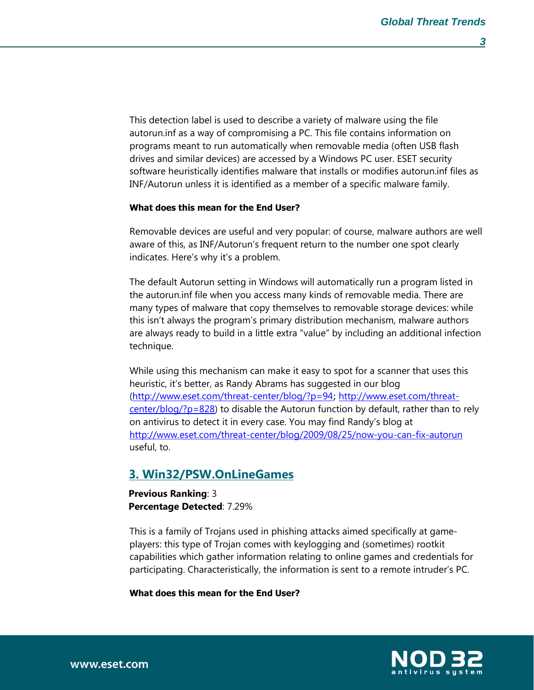This detection label is used to describe a variety of malware using the file autorun.inf as a way of compromising a PC. This file contains information on programs meant to run automatically when removable media (often USB flash drives and similar devices) are accessed by a Windows PC user. ESET security software heuristically identifies malware that installs or modifies autorun.inf files as INF/Autorun unless it is identified as a member of a specific malware family.

#### **What does this mean for the End User?**

Removable devices are useful and very popular: of course, malware authors are well aware of this, as INF/Autorun's frequent return to the number one spot clearly indicates. Here's why it's a problem.

The default Autorun setting in Windows will automatically run a program listed in the autorun.inf file when you access many kinds of removable media. There are many types of malware that copy themselves to removable storage devices: while this isn't always the program's primary distribution mechanism, malware authors are always ready to build in a little extra "value" by including an additional infection technique.

While using this mechanism can make it easy to spot for a scanner that uses this heuristic, it's better, as Randy Abrams has suggested in our blog (http://www.eset.com/threat-center/blog/?p=94; http://www.eset.com/threat $center/blog/?p=828$ ) to disable the Autorun function by default, rather than to rely on antivirus to detect it in every case. You may find Randy's blog at http://www.eset.com/threat-center/blog/2009/08/25/now-you-can-fix-autorun useful, to.

### **3. Win32/PSW.OnLineGames**

**Previous Ranking**: 3 **Percentage Detected**: 7.29%

This is a family of Trojans used in phishing attacks aimed specifically at gameplayers: this type of Trojan comes with keylogging and (sometimes) rootkit capabilities which gather information relating to online games and credentials for participating. Characteristically, the information is sent to a remote intruder's PC.

**What does this mean for the End User?**

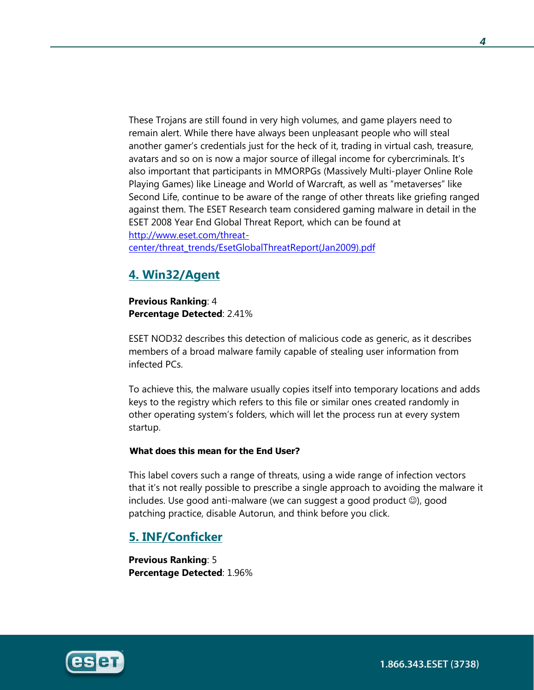These Trojans are still found in very high volumes, and game players need to remain alert. While there have always been unpleasant people who will steal another gamer's credentials just for the heck of it, trading in virtual cash, treasure, avatars and so on is now a major source of illegal income for cybercriminals. It's also important that participants in MMORPGs (Massively Multi-player Online Role Playing Games) like Lineage and World of Warcraft, as well as "metaverses" like Second Life, continue to be aware of the range of other threats like griefing ranged against them. The ESET Research team considered gaming malware in detail in the ESET 2008 Year End Global Threat Report, which can be found at http://www.eset.com/threatcenter/threat\_trends/EsetGlobalThreatReport(Jan2009).pdf

# **4. Win32/Agent**

**Previous Ranking**: 4 **Percentage Detected**: 2.41%

ESET NOD32 describes this detection of malicious code as generic, as it describes members of a broad malware family capable of stealing user information from infected PCs.

To achieve this, the malware usually copies itself into temporary locations and adds keys to the registry which refers to this file or similar ones created randomly in other operating system's folders, which will let the process run at every system startup.

#### **What does this mean for the End User?**

This label covers such a range of threats, using a wide range of infection vectors that it's not really possible to prescribe a single approach to avoiding the malware it includes. Use good anti-malware (we can suggest a good product ☺), good patching practice, disable Autorun, and think before you click.

# **5. INF/Conficker**

**Previous Ranking**: 5 **Percentage Detected**: 1.96%



1.866.343.ESET (3738)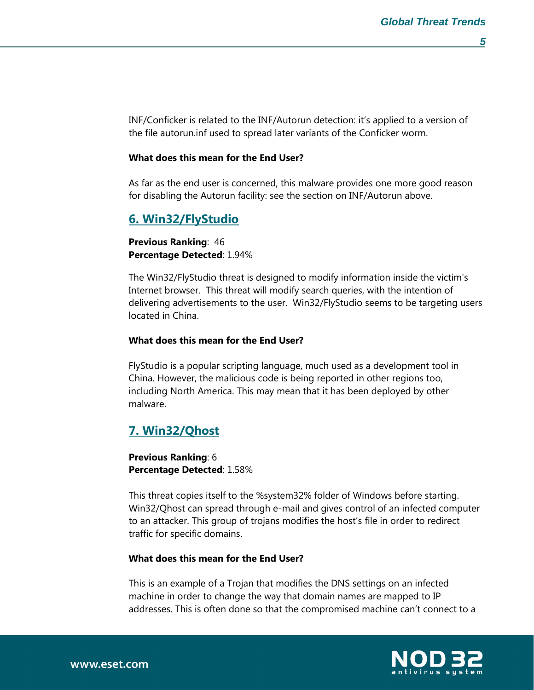INF/Conficker is related to the INF/Autorun detection: it's applied to a version of the file autorun.inf used to spread later variants of the Conficker worm.

#### **What does this mean for the End User?**

As far as the end user is concerned, this malware provides one more good reason for disabling the Autorun facility: see the section on INF/Autorun above.

## **6. Win32/FlyStudio**

**Previous Ranking**: 46 **Percentage Detected**: 1.94%

The Win32/FlyStudio threat is designed to modify information inside the victim's Internet browser. This threat will modify search queries, with the intention of delivering advertisements to the user. Win32/FlyStudio seems to be targeting users located in China.

#### **What does this mean for the End User?**

FlyStudio is a popular scripting language, much used as a development tool in China. However, the malicious code is being reported in other regions too, including North America. This may mean that it has been deployed by other malware.

## **7. Win32/Qhost**

**Previous Ranking**: 6 **Percentage Detected**: 1.58%

This threat copies itself to the %system32% folder of Windows before starting. Win32/Qhost can spread through e-mail and gives control of an infected computer to an attacker. This group of trojans modifies the host's file in order to redirect traffic for specific domains.

#### **What does this mean for the End User?**

This is an example of a Trojan that modifies the DNS settings on an infected machine in order to change the way that domain names are mapped to IP addresses. This is often done so that the compromised machine can't connect to a

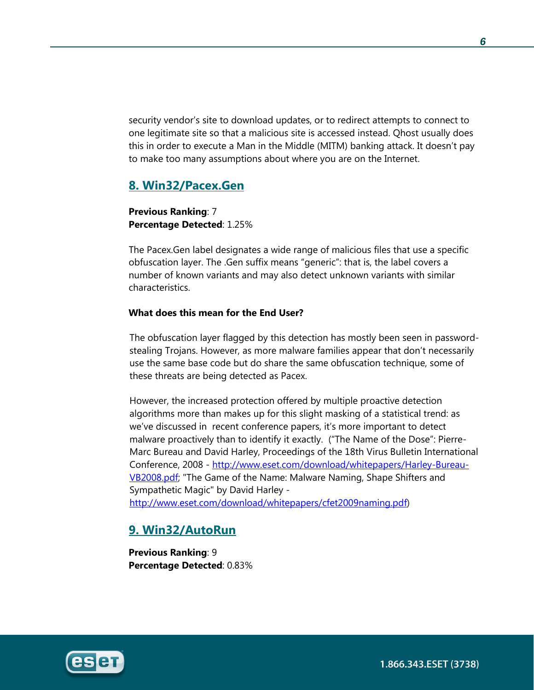security vendor's site to download updates, or to redirect attempts to connect to one legitimate site so that a malicious site is accessed instead. Qhost usually does this in order to execute a Man in the Middle (MITM) banking attack. It doesn't pay to make too many assumptions about where you are on the Internet.

# **8. Win32/Pacex.Gen**

**Previous Ranking**: 7 **Percentage Detected**: 1.25%

The Pacex.Gen label designates a wide range of malicious files that use a specific obfuscation layer. The .Gen suffix means "generic": that is, the label covers a number of known variants and may also detect unknown variants with similar characteristics.

#### **What does this mean for the End User?**

The obfuscation layer flagged by this detection has mostly been seen in passwordstealing Trojans. However, as more malware families appear that don't necessarily use the same base code but do share the same obfuscation technique, some of these threats are being detected as Pacex.

However, the increased protection offered by multiple proactive detection algorithms more than makes up for this slight masking of a statistical trend: as we've discussed in recent conference papers, it's more important to detect malware proactively than to identify it exactly. ("The Name of the Dose": Pierre-Marc Bureau and David Harley, Proceedings of the 18th Virus Bulletin International Conference, 2008 - http://www.eset.com/download/whitepapers/Harley-Bureau-VB2008.pdf; "The Game of the Name: Malware Naming, Shape Shifters and Sympathetic Magic" by David Harley -

http://www.eset.com/download/whitepapers/cfet2009naming.pdf)

## **9. Win32/AutoRun**

**Previous Ranking**: 9 **Percentage Detected**: 0.83%



1.866.343.ESET (3738)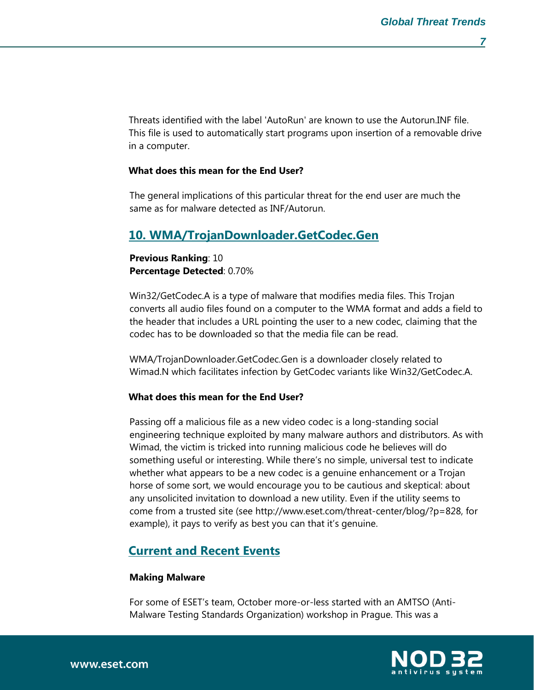Threats identified with the label 'AutoRun' are known to use the Autorun.INF file. This file is used to automatically start programs upon insertion of a removable drive in a computer.

#### **What does this mean for the End User?**

The general implications of this particular threat for the end user are much the same as for malware detected as INF/Autorun.

## **10. WMA/TrojanDownloader.GetCodec.Gen**

**Previous Ranking**: 10 **Percentage Detected**: 0.70%

Win32/GetCodec.A is a type of malware that modifies media files. This Trojan converts all audio files found on a computer to the WMA format and adds a field to the header that includes a URL pointing the user to a new codec, claiming that the codec has to be downloaded so that the media file can be read.

WMA/TrojanDownloader.GetCodec.Gen is a downloader closely related to Wimad.N which facilitates infection by GetCodec variants like Win32/GetCodec.A.

#### **What does this mean for the End User?**

Passing off a malicious file as a new video codec is a long-standing social engineering technique exploited by many malware authors and distributors. As with Wimad, the victim is tricked into running malicious code he believes will do something useful or interesting. While there's no simple, universal test to indicate whether what appears to be a new codec is a genuine enhancement or a Trojan horse of some sort, we would encourage you to be cautious and skeptical: about any unsolicited invitation to download a new utility. Even if the utility seems to come from a trusted site (see http://www.eset.com/threat-center/blog/?p=828, for example), it pays to verify as best you can that it's genuine.

#### **Current and Recent Events**

#### **Making Malware**

For some of ESET's team, October more-or-less started with an AMTSO (Anti-Malware Testing Standards Organization) workshop in Prague. This was a

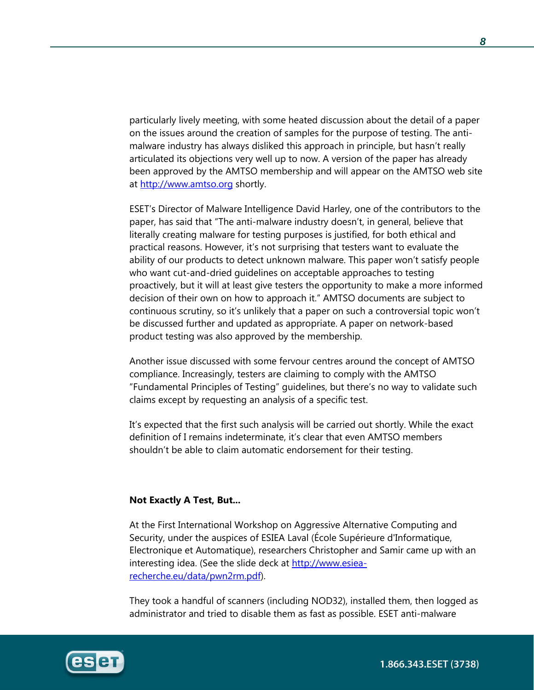particularly lively meeting, with some heated discussion about the detail of a paper on the issues around the creation of samples for the purpose of testing. The antimalware industry has always disliked this approach in principle, but hasn't really articulated its objections very well up to now. A version of the paper has already been approved by the AMTSO membership and will appear on the AMTSO web site at http://www.amtso.org shortly.

ESET's Director of Malware Intelligence David Harley, one of the contributors to the paper, has said that "The anti-malware industry doesn't, in general, believe that literally creating malware for testing purposes is justified, for both ethical and practical reasons. However, it's not surprising that testers want to evaluate the ability of our products to detect unknown malware. This paper won't satisfy people who want cut-and-dried guidelines on acceptable approaches to testing proactively, but it will at least give testers the opportunity to make a more informed decision of their own on how to approach it." AMTSO documents are subject to continuous scrutiny, so it's unlikely that a paper on such a controversial topic won't be discussed further and updated as appropriate. A paper on network-based product testing was also approved by the membership.

Another issue discussed with some fervour centres around the concept of AMTSO compliance. Increasingly, testers are claiming to comply with the AMTSO "Fundamental Principles of Testing" guidelines, but there's no way to validate such claims except by requesting an analysis of a specific test.

It's expected that the first such analysis will be carried out shortly. While the exact definition of I remains indeterminate, it's clear that even AMTSO members shouldn't be able to claim automatic endorsement for their testing.

#### **Not Exactly A Test, But...**

At the First International Workshop on Aggressive Alternative Computing and Security, under the auspices of ESIEA Laval (École Supérieure d'Informatique, Electronique et Automatique), researchers Christopher and Samir came up with an interesting idea. (See the slide deck at http://www.esiearecherche.eu/data/pwn2rm.pdf).

They took a handful of scanners (including NOD32), installed them, then logged as administrator and tried to disable them as fast as possible. ESET anti-malware

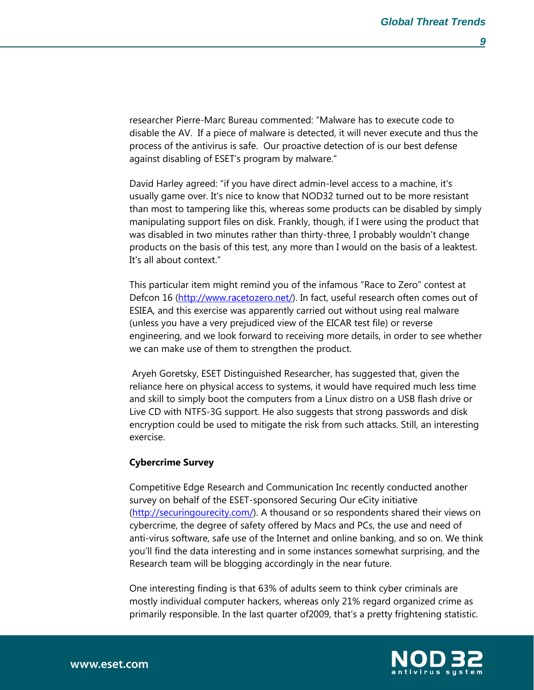researcher Pierre-Marc Bureau commented: "Malware has to execute code to disable the AV. If a piece of malware is detected, it will never execute and thus the process of the antivirus is safe. Our proactive detection of is our best defense against disabling of ESET's program by malware."

David Harley agreed: "if you have direct admin-level access to a machine, it's usually game over. It's nice to know that NOD32 turned out to be more resistant than most to tampering like this, whereas some products can be disabled by simply manipulating support files on disk. Frankly, though, if I were using the product that was disabled in two minutes rather than thirty-three, I probably wouldn't change products on the basis of this test, any more than I would on the basis of a leaktest. It's all about context."

This particular item might remind you of the infamous "Race to Zero" contest at Defcon 16 (http://www.racetozero.net/). In fact, useful research often comes out of ESIEA, and this exercise was apparently carried out without using real malware (unless you have a very prejudiced view of the EICAR test file) or reverse engineering, and we look forward to receiving more details, in order to see whether we can make use of them to strengthen the product.

 Aryeh Goretsky, ESET Distinguished Researcher, has suggested that, given the reliance here on physical access to systems, it would have required much less time and skill to simply boot the computers from a Linux distro on a USB flash drive or Live CD with NTFS-3G support. He also suggests that strong passwords and disk encryption could be used to mitigate the risk from such attacks. Still, an interesting exercise.

#### **Cybercrime Survey**

Competitive Edge Research and Communication Inc recently conducted another survey on behalf of the ESET-sponsored Securing Our eCity initiative (http://securingourecity.com/). A thousand or so respondents shared their views on cybercrime, the degree of safety offered by Macs and PCs, the use and need of anti-virus software, safe use of the Internet and online banking, and so on. We think you'll find the data interesting and in some instances somewhat surprising, and the Research team will be blogging accordingly in the near future.

One interesting finding is that 63% of adults seem to think cyber criminals are mostly individual computer hackers, whereas only 21% regard organized crime as primarily responsible. In the last quarter of2009, that's a pretty frightening statistic.